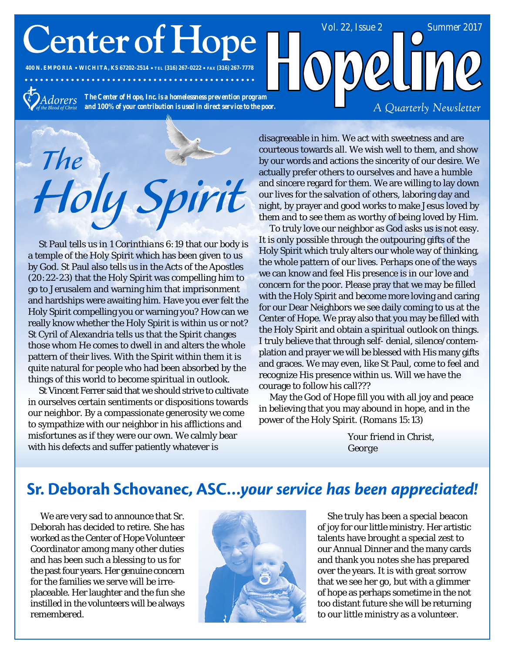# **Center of Hope**

**400 N. EMPORIA WICHITA, KS 67202-2514 TEL (316) 267-0222 FAX (316) 267-7778**

Adorers

*The Center of Hope, Inc. is a homelessness prevention program and 100% of your contribution is used in direct service to the poor.*

. . . . . . . . . . . . . . . . .



St Paul tells us in *1 Corinthians 6:19* that our body is a temple of the Holy Spirit which has been given to us by God. St Paul also tells us in the *Acts of the Apostles (20:22-23*) that the Holy Spirit was compelling him to go to Jerusalem and warning him that imprisonment and hardships were awaiting him. Have you ever felt the Holy Spirit compelling you or warning you? How can we really know whether the Holy Spirit is within us or not? St Cyril of Alexandria tells us that the Spirit changes those whom He comes to dwell in and alters the whole pattern of their lives. With the Spirit within them it is quite natural for people who had been absorbed by the things of this world to become spiritual in outlook.

St Vincent Ferrer said that we should strive to cultivate in ourselves certain sentiments or dispositions towards our neighbor. By a compassionate generosity we come to sympathize with our neighbor in his afflictions and misfortunes as if they were our own. We calmly bear with his defects and suffer patiently whatever is

disagreeable in him. We act with sweetness and are courteous towards all. We wish well to them, and show by our words and actions the sincerity of our desire. We actually prefer others to ourselves and have a humble and sincere regard for them. We are willing to lay down our lives for the salvation of others, laboring day and night, by prayer and good works to make Jesus loved by them and to see them as worthy of being loved by Him.

Vol. 22, Issue 2 Summer 2017

A Quarterly Newsletter

To truly love our neighbor as God asks us is not easy. It is only possible through the outpouring gifts of the Holy Spirit which truly alters our whole way of thinking, the whole pattern of our lives. Perhaps one of the ways we can know and feel His presence is in our love and concern for the poor. Please pray that we may be filled with the Holy Spirit and become more loving and caring for our Dear Neighbors we see daily coming to us at the Center of Hope. We pray also that you may be filled with the Holy Spirit and obtain a spiritual outlook on things. I truly believe that through self- denial, silence/contemplation and prayer we will be blessed with His many gifts and graces. We may even, like St Paul, come to feel and recognize His presence within us. Will we have the courage to follow his call???

May the God of Hope fill you with all joy and peace in believing that you may abound in hope, and in the power of the Holy Spirit. *(Romans 15:13)*

> *Your friend in Christ, George*

### Sr. Deborah Schovanec, ASC...your service has been appreciated!

We are very sad to announce that Sr. Deborah has decided to retire. She has worked as the Center of Hope Volunteer Coordinator among many other duties and has been such a blessing to us for the past four years. Her genuine concern for the families we serve will be irreplaceable. Her laughter and the fun she instilled in the volunteers will be always remembered.



She truly has been a special beacon of joy for our little ministry. Her artistic talents have brought a special zest to our Annual Dinner and the many cards and thank you notes she has prepared over the years. It is with great sorrow that we see her go, but with a glimmer of hope as perhaps sometime in the not too distant future she will be returning to our little ministry as a volunteer.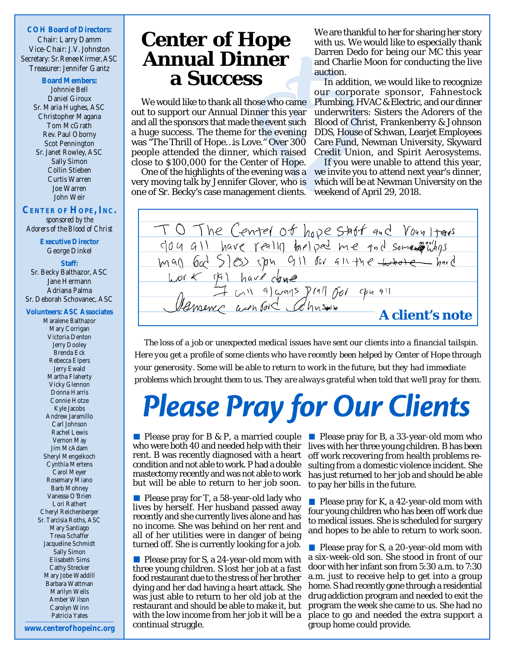#### **COH Board of Directors:** Chair: Larry Damm Vice-Chair: J.V. Johnston Secretary: Sr.Renee Kirmer, ASC Treasurer: Jennifer Gantz

**Board Members:** Johnnie Bell Daniel Giroux Sr. Maria Hughes, ASC Christopher Magana Tom McGrath Rev. Paul Oborny Scot Pennington Sr. Janet Rowley, ASC Sally Simon Collin Stieben Curtis Warren Joe Warren John Weir

#### **CENTER OF HOPE, INC.**

*sponsored by the Adorers of the Blood of Christ*

> **Executive Director** George Dinkel

#### **Staff:**

Sr. Becky Balthazor, ASC Jane Hermann Adriana Palma Sr. Deborah Schovanec, ASC

#### **Volunteers: ASC Associates**

Maralene Balthazor Mary Corrigan Victoria Denton Jerry Dooley Brenda Eck Rebecca Elpers Jerry Ewald Martha Flaherty Vicky Glennon Donna Harris Connie Hotze Kyle Jacobs Andrew Jaramillo Carl Johnson Rachel Lewis Vernon May Jim McAdam Sheryl Mengelkoch Cynthia Mertens Carol Meyer Rosemary Miano Barb Mohney Vanessa O'Brien Lori Rathert Cheryl Reichenberger Sr. Tarcisia Roths, ASC Mary Santiago Treva Schaffer Jacqueline Schmidt Sally Simon Elisabeth Sims Cathy Strecker Mary Jobe Waddill Barbara Wattman Marilyn Wells Amber Wilson Carolyn Winn Patricia Yates

**www.centerof hopeinc.org**

## **Center of Hope Annual Dinner a Success**

We would like to thank all those who came out to support our Annual Dinner this year and all the sponsors that made the event such a huge success. The theme for the evening was "The Thrill of Hope…is Love." Over 300 people attended the dinner, which raised close to \$100,000 for the Center of Hope.

One of the highlights of the evening was a very moving talk by Jennifer Glover, who is one of Sr. Becky's case management clients.

We are thankful to her for sharing her story with us. We would like to especially thank Darren Dedo for being our MC this year and Charlie Moon for conducting the live auction.

In addition, we would like to recognize our corporate sponsor, Fahnestock Plumbing, HVAC & Electric, and our dinner underwriters: Sisters the Adorers of the Blood of Christ, Frankenberry & Johnson DDS, House of Schwan, Learjet Employees Care Fund, Newman University, Skyward Credit Union, and Spirit Aerosystems.

If you were unable to attend this year, we invite you to attend next year's dinner, which will be at Newman University on the weekend of April 29, 2018.

O The Center of hope staff and Voun Itams dan all have really helped me and somen fillings  $M90$ 159) have done  $U(19)$  craps  $Y(91)$  for  $56991$ mence wentord Chusen **A client's note**

*The loss of a job or unexpected medical issues have sent our clients into a financial tailspin. Here you get a profile of some clients who have recently been helped by Center of Hope through your generosity. Some will be able to return to work in the future, but they had immediate problems which brought them to us. They are always grateful when told that we'll pray for them.*

# **Please Pray for Our Clients**

**Please pray for B & P, a married couple** rent. B was recently diagnosed with a heart condition and not able to work. P had a double mastectomy recently and was not able to work but will be able to return to her job soon.

**Please pray for T, a 58-year-old lady who** lives by herself. Her husband passed away recently and she currently lives alone and has no income. She was behind on her rent and all of her utilities were in danger of being turned off. She is currently looking for a job.

**Please pray for S, a 24-year-old mom with** three young children. S lost her job at a fast food restaurant due to the stress of her brother dying and her dad having a heart attack. She was just able to return to her old job at the restaurant and should be able to make it, but with the low income from her job it will be a continual struggle.

who were both 40 and needed help with their lives with her three young children. B has been **Please pray for B, a 33-year-old mom who** off work recovering from health problems resulting from a domestic violence incident. She has just returned to her job and should be able to pay her bills in the future.

> **Please pray for K, a 42-year-old mom with** four young children who has been off work due to medical issues. She is scheduled for surgery and hopes to be able to return to work soon.

> **Please pray for S, a 20-year-old mom with** a six-week-old son. She stood in front of our door with her infant son from 5:30 a.m. to 7:30 a.m. just to receive help to get into a group home. S had recently gone through a residential drug addiction program and needed to exit the program the week she came to us. She had no place to go and needed the extra support a group home could provide.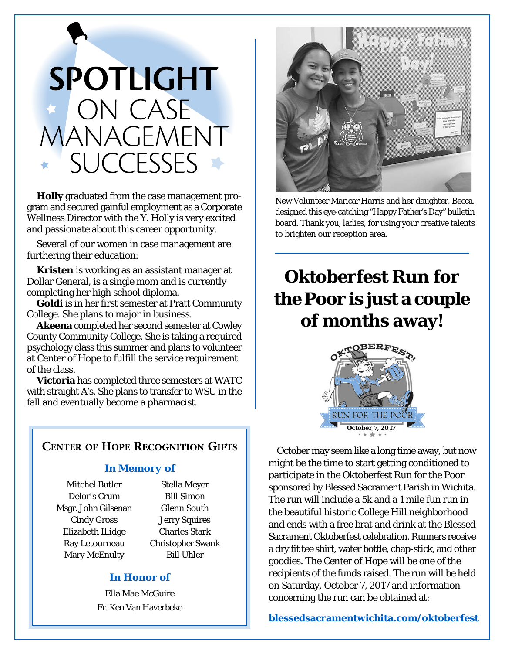# **SPOTLIGHT** ON CASE MANAGEMENT **SUCCESSES**

**Holly** graduated from the case management program and secured gainful employment as a Corporate Wellness Director with the Y. Holly is very excited and passionate about this career opportunity.

Several of our women in case management are furthering their education:

**Kristen** is working as an assistant manager at Dollar General, is a single mom and is currently completing her high school diploma.

**Goldi** is in her first semester at Pratt Community College. She plans to major in business.

**Akeena** completed her second semester at Cowley County Community College. She is taking a required psychology class this summer and plans to volunteer at Center of Hope to fulfill the service requirement of the class.

**Victoria** has completed three semesters at WATC with straight A's. She plans to transfer to WSU in the fall and eventually become a pharmacist.

### **CENTER OF HOPE RECOGNITION GIFTS**

#### *In Memory of*

Mitchel Butler Deloris Crum Msgr. John Gilsenan Cindy Gross Elizabeth Illidge Ray Letourneau Mary McEnulty

Stella Meyer Bill Simon Glenn South Jerry Squires Charles Stark Christopher Swank Bill Uhler

### *In Honor of*

Ella Mae McGuire Fr. Ken Van Haverbeke



New Volunteer Maricar Harris and her daughter, Becca, designed this eye-catching "Happy Father's Day" bulletin board. Thank you, ladies, for using your creative talents to brighten our reception area.

## **Oktoberfest** *Run for the Poor* **is just a couple of months away!**



October may seem like a long time away, but now might be the time to start getting conditioned to participate in the Oktoberfest Run for the Poor sponsored by Blessed Sacrament Parish in Wichita. The run will include a 5k and a 1 mile fun run in the beautiful historic College Hill neighborhood and ends with a free brat and drink at the Blessed Sacrament Oktoberfest celebration. Runners receive a dry fit tee shirt, water bottle, chap-stick, and other goodies. The Center of Hope will be one of the recipients of the funds raised. The run will be held on Saturday, October 7, 2017 and information concerning the run can be obtained at:

#### **blessedsacramentwichita.com/oktoberfest**